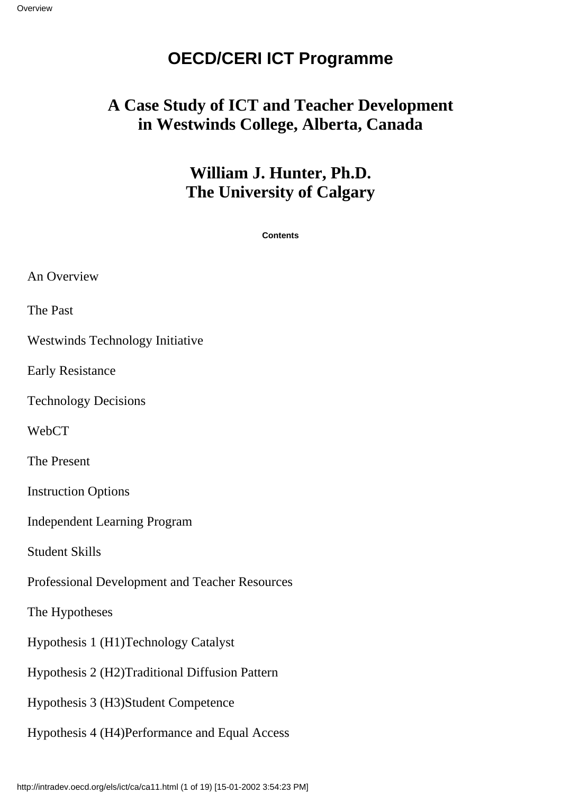### **OECD/CERI ICT Programme**

### **A Case Study of ICT and Teacher Development in Westwinds College, Alberta, Canada**

### **William J. Hunter, Ph.D. The University of Calgary**

**Contents**

| An Overview                                     |
|-------------------------------------------------|
| The Past                                        |
| <b>Westwinds Technology Initiative</b>          |
| <b>Early Resistance</b>                         |
| <b>Technology Decisions</b>                     |
| WebCT                                           |
| The Present                                     |
| <b>Instruction Options</b>                      |
| <b>Independent Learning Program</b>             |
| <b>Student Skills</b>                           |
| Professional Development and Teacher Resources  |
| The Hypotheses                                  |
| Hypothesis 1 (H1) Technology Catalyst           |
| Hypothesis 2 (H2) Traditional Diffusion Pattern |
| Hypothesis 3 (H3) Student Competence            |
| Hypothesis 4 (H4) Performance and Equal Access  |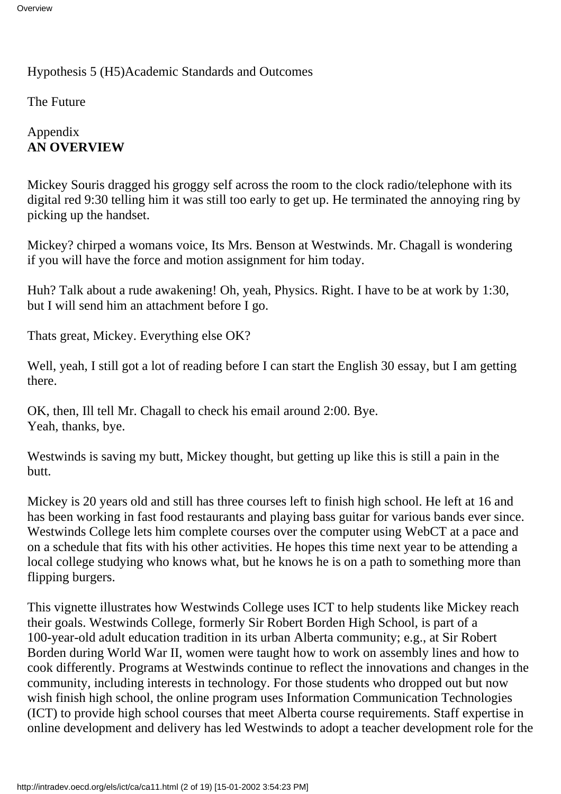#### Hypothesis 5 (H5) Academic Standards and Outcomes

The Future

#### Appendix **AN OVERVIEW**

Mickey Souris dragged his groggy self across the room to the clock radio/telephone with its digital red 9:30 telling him it was still too early to get up. He terminated the annoying ring by picking up the handset.

Mickey? chirped a woman s voice, It s Mrs. Benson at Westwinds. Mr. Chagall is wondering if you will have the force and motion assignment for him today.

Huh? Talk about a rude awakening! Oh, yeah, Physics. Right. I have to be at work by 1:30, but I will send him an attachment before I go.

That s great, Mickey. Everything else OK?

Well, yeah, I still got a lot of reading before I can start the English 30 essay, but I am getting there.

OK, then, Ill tell Mr. Chagall to check his email around 2:00. Bye. Yeah, thanks, bye.

Westwinds is saving my butt, Mickey thought, but getting up like this is still a pain in the butt.

Mickey is 20 years old and still has three courses left to finish high school. He left at 16 and has been working in fast food restaurants and playing bass guitar for various bands ever since. Westwinds College lets him complete courses over the computer using WebCT at a pace and on a schedule that fits with his other activities. He hopes this time next year to be attending a local college studying who knows what, but he knows he is on a path to something more than flipping burgers.

This vignette illustrates how Westwinds College uses ICT to help students like Mickey reach their goals. Westwinds College, formerly Sir Robert Borden High School, is part of a 100-year-old adult education tradition in its urban Alberta community; e.g., at Sir Robert Borden during World War II, women were taught how to work on assembly lines and how to cook differently. Programs at Westwinds continue to reflect the innovations and changes in the community, including interests in technology. For those students who dropped out but now wish finish high school, the online program uses Information Communication Technologies (ICT) to provide high school courses that meet Alberta course requirements. Staff expertise in online development and delivery has led Westwinds to adopt a teacher development role for the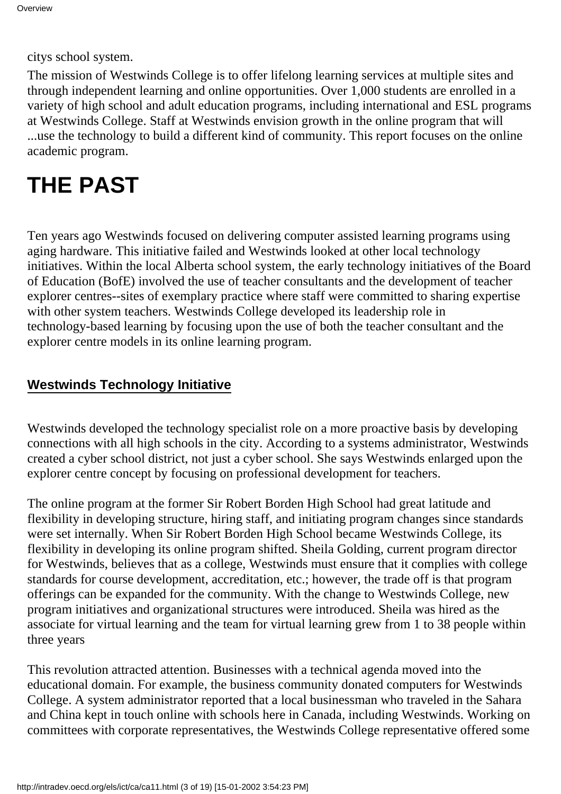citys school system.

The mission of Westwinds College is to offer lifelong learning services at multiple sites and through independent learning and online opportunities. Over 1,000 students are enrolled in a variety of high school and adult education programs, including international and ESL programs at Westwinds College. Staff at Westwinds envision growth in the online program that will ...use the technology to build a different kind of community. This report focuses on the online academic program.

## **THE PAST**

Ten years ago Westwinds focused on delivering computer assisted learning programs using aging hardware. This initiative failed and Westwinds looked at other local technology initiatives. Within the local Alberta school system, the early technology initiatives of the Board of Education (BofE) involved the use of teacher consultants and the development of teacher explorer centres--sites of exemplary practice where staff were committed to sharing expertise with other system teachers. Westwinds College developed its leadership role in technology-based learning by focusing upon the use of both the teacher consultant and the explorer centre models in its online learning program.

#### **Westwinds Technology Initiative**

Westwinds developed the technology specialist role on a more proactive basis by developing connections with all high schools in the city. According to a systems administrator, Westwinds created a cyber school district, not just a cyber school. She says Westwinds enlarged upon the explorer centre concept by focusing on professional development for teachers.

The online program at the former Sir Robert Borden High School had great latitude and flexibility in developing structure, hiring staff, and initiating program changes since standards were set internally. When Sir Robert Borden High School became Westwinds College, its flexibility in developing its online program shifted. Sheila Golding, current program director for Westwinds, believes that as a college, Westwinds must ensure that it complies with college standards for course development, accreditation, etc.; however, the trade off is that program offerings can be expanded for the community. With the change to Westwinds College, new program initiatives and organizational structures were introduced. Sheila was hired as the associate for virtual learning and the team for virtual learning grew from 1 to 38 people within three years

This revolution attracted attention. Businesses with a technical agenda moved into the educational domain. For example, the business community donated computers for Westwinds College. A system administrator reported that a local businessman who traveled in the Sahara and China kept in touch online with schools here in Canada, including Westwinds. Working on committees with corporate representatives, the Westwinds College representative offered some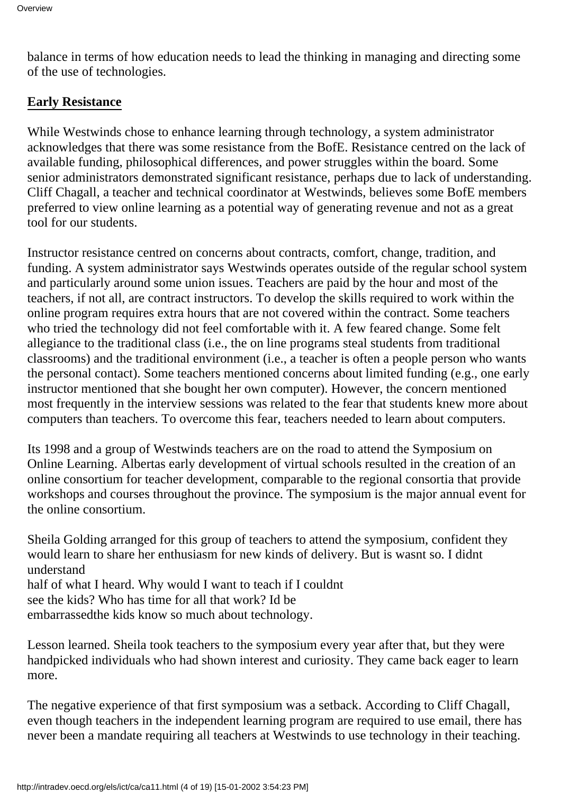balance in terms of how education needs to lead the thinking in managing and directing some of the use of technologies.

#### **Early Resistance**

While Westwinds chose to enhance learning through technology, a system administrator acknowledges that there was some resistance from the BofE. Resistance centred on the lack of available funding, philosophical differences, and power struggles within the board. Some senior administrators demonstrated significant resistance, perhaps due to lack of understanding. Cliff Chagall, a teacher and technical coordinator at Westwinds, believes some BofE members preferred to view online learning as a potential way of generating revenue and not as a great tool for our students.

Instructor resistance centred on concerns about contracts, comfort, change, tradition, and funding. A system administrator says Westwinds operates outside of the regular school system and particularly around some union issues. Teachers are paid by the hour and most of the teachers, if not all, are contract instructors. To develop the skills required to work within the online program requires extra hours that are not covered within the contract. Some teachers who tried the technology did not feel comfortable with it. A few feared change. Some felt allegiance to the traditional class (i.e., the on line programs steal students from traditional classrooms) and the traditional environment (i.e., a teacher is often a people person who wants the personal contact). Some teachers mentioned concerns about limited funding (e.g., one early instructor mentioned that she bought her own computer). However, the concern mentioned most frequently in the interview sessions was related to the fear that students knew more about computers than teachers. To overcome this fear, teachers needed to learn about computers.

It s 1998 and a group of Westwinds teachers are on the road to attend the Symposium on Online Learning. Albertas early development of virtual schools resulted in the creation of an online consortium for teacher development, comparable to the regional consortia that provide workshops and courses throughout the province. The symposium is the major annual event for the online consortium.

Sheila Golding arranged for this group of teachers to attend the symposium, confident they would learn to share her enthusiasm for new kinds of delivery. But is wasnt so. I didnt understand half of what I heard. Why would I want to teach if I couldn t see the kids? Who has time for all that work? Id be

embarrassed the kids know so much about technology.

Lesson learned. Sheila took teachers to the symposium every year after that, but they were handpicked individuals who had shown interest and curiosity. They came back eager to learn more.

The negative experience of that first symposium was a setback. According to Cliff Chagall, even though teachers in the independent learning program are required to use email, there has never been a mandate requiring all teachers at Westwinds to use technology in their teaching.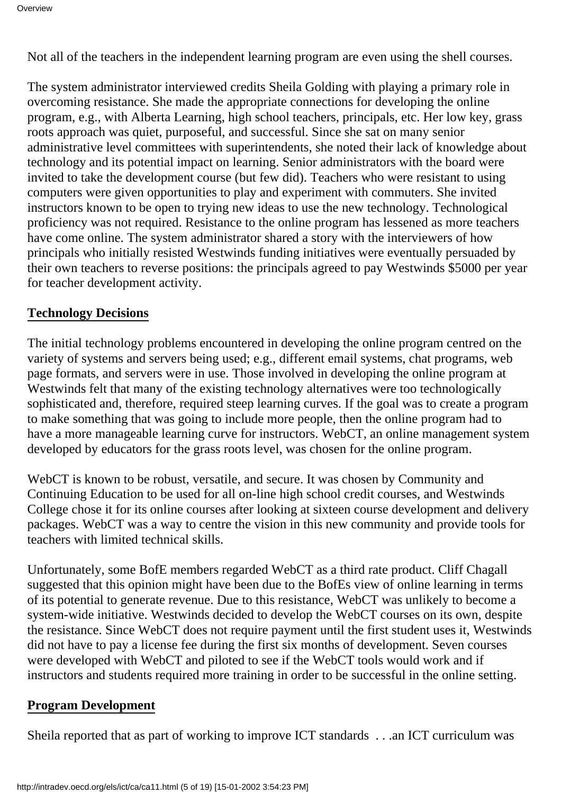Not all of the teachers in the independent learning program are even using the shell courses.

The system administrator interviewed credits Sheila Golding with playing a primary role in overcoming resistance. She made the appropriate connections for developing the online program, e.g., with Alberta Learning, high school teachers, principals, etc. Her low key, grass roots approach was quiet, purposeful, and successful. Since she sat on many senior administrative level committees with superintendents, she noted their lack of knowledge about technology and its potential impact on learning. Senior administrators with the board were invited to take the development course (but few did). Teachers who were resistant to using computers were given opportunities to play and experiment with commuters. She invited instructors known to be open to trying new ideas to use the new technology. Technological proficiency was not required. Resistance to the online program has lessened as more teachers have come online. The system administrator shared a story with the interviewers of how principals who initially resisted Westwinds funding initiatives were eventually persuaded by their own teachers to reverse positions: the principals agreed to pay Westwinds \$5000 per year for teacher development activity.

#### **Technology Decisions**

The initial technology problems encountered in developing the online program centred on the variety of systems and servers being used; e.g., different email systems, chat programs, web page formats, and servers were in use. Those involved in developing the online program at Westwinds felt that many of the existing technology alternatives were too technologically sophisticated and, therefore, required steep learning curves. If the goal was to create a program to make something that was going to include more people, then the online program had to have a more manageable learning curve for instructors. WebCT, an online management system developed by educators for the grass roots level, was chosen for the online program.

WebCT is known to be robust, versatile, and secure. It was chosen by Community and Continuing Education to be used for all on-line high school credit courses, and Westwinds College chose it for its online courses after looking at sixteen course development and delivery packages. WebCT was a way to centre the vision in this new community and provide tools for teachers with limited technical skills.

Unfortunately, some BofE members regarded WebCT as a third rate product. Cliff Chagall suggested that this opinion might have been due to the BofEs view of online learning in terms of its potential to generate revenue. Due to this resistance, WebCT was unlikely to become a system-wide initiative. Westwinds decided to develop the WebCT courses on its own, despite the resistance. Since WebCT does not require payment until the first student uses it, Westwinds did not have to pay a license fee during the first six months of development. Seven courses were developed with WebCT and piloted to see if the WebCT tools would work and if instructors and students required more training in order to be successful in the online setting.

#### **Program Development**

Sheila reported that as part of working to improve ICT standards . . .an ICT curriculum was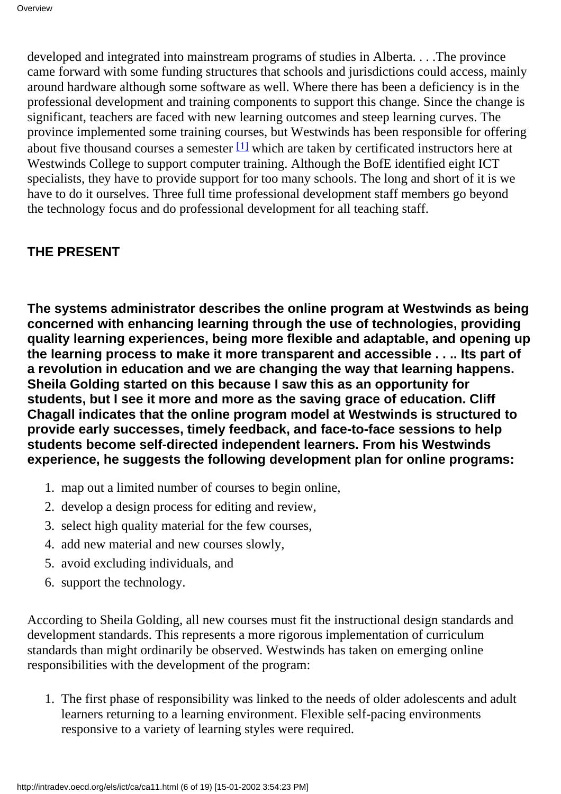<span id="page-5-0"></span>developed and integrated into mainstream programs of studies in Alberta. . . .The province came forward with some funding structures that schools and jurisdictions could access, mainly around hardware although some software as well. Where there has been a deficiency is in the professional development and training components to support this change. Since the change is significant, teachers are faced with new learning outcomes and steep learning curves. The province implemented some training courses, but Westwinds has been responsible for offering about five thousand courses a semester $[1]$  which are taken by certificated instructors here at Westwinds College to support computer training. Although the BofE identified eight ICT specialists, they have to provide support for too many schools. The long and short of it is we have to do it ourselves. Three full time professional development staff members go beyond the technology focus and do professional development for all teaching staff.

#### **THE PRESENT**

**The systems administrator describes the online program at Westwinds as being concerned with enhancing learning through the use of technologies, providing quality learning experiences, being more flexible and adaptable, and opening up the learning process to make it more transparent and accessible . . .. Its part of a revolution in education and we are changing the way that learning happens. Sheila Golding started on this because I saw this as an opportunity for students, but I see it more and more as the saving grace of education. Cliff Chagall indicates that the online program model at Westwinds is structured to provide early successes, timely feedback, and face-to-face sessions to help students become self-directed independent learners. From his Westwinds experience, he suggests the following development plan for online programs:**

- 1. map out a limited number of courses to begin online,
- 2. develop a design process for editing and review,
- 3. select high quality material for the few courses,
- 4. add new material and new courses slowly,
- 5. avoid excluding individuals, and
- 6. support the technology.

According to Sheila Golding, all new courses must fit the instructional design standards and development standards. This represents a more rigorous implementation of curriculum standards than might ordinarily be observed. Westwinds has taken on emerging online responsibilities with the development of the program:

1. The first phase of responsibility was linked to the needs of older adolescents and adult learners returning to a learning environment. Flexible self-pacing environments responsive to a variety of learning styles were required.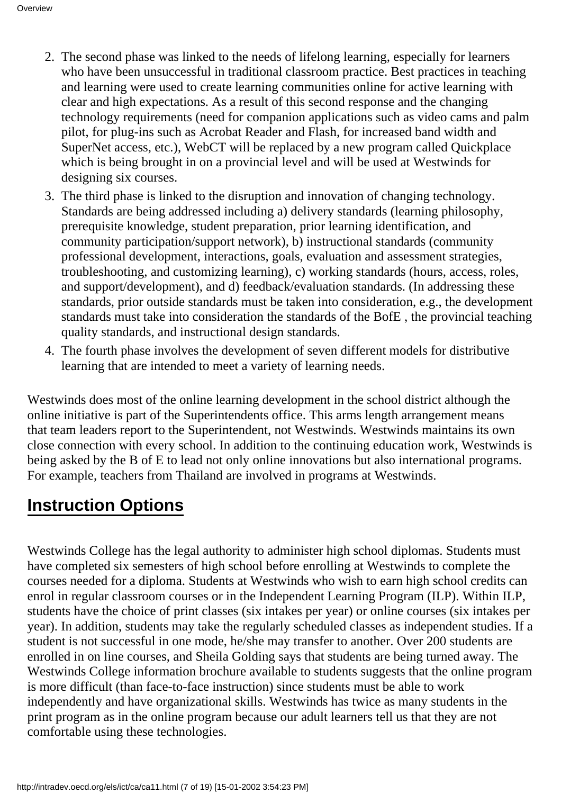- 2. The second phase was linked to the needs of lifelong learning, especially for learners who have been unsuccessful in traditional classroom practice. Best practices in teaching and learning were used to create learning communities online for active learning with clear and high expectations. As a result of this second response and the changing technology requirements (need for companion applications such as video cams and palm pilot, for plug-ins such as Acrobat Reader and Flash, for increased band width and SuperNet access, etc.), WebCT will be replaced by a new program called Quickplace which is being brought in on a provincial level and will be used at Westwinds for designing six courses.
- 3. The third phase is linked to the disruption and innovation of changing technology. Standards are being addressed including a) delivery standards (learning philosophy, prerequisite knowledge, student preparation, prior learning identification, and community participation/support network), b) instructional standards (community professional development, interactions, goals, evaluation and assessment strategies, troubleshooting, and customizing learning), c) working standards (hours, access, roles, and support/development), and d) feedback/evaluation standards. (In addressing these standards, prior outside standards must be taken into consideration, e.g., the development standards must take into consideration the standards of the BofE , the provincial teaching quality standards, and instructional design standards.
- The fourth phase involves the development of seven different models for distributive 4. learning that are intended to meet a variety of learning needs.

Westwinds does most of the online learning development in the school district although the online initiative is part of the Superintendent s office. This arm s length arrangement means that team leaders report to the Superintendent, not Westwinds. Westwinds maintains its own close connection with every school. In addition to the continuing education work, Westwinds is being asked by the B of E to lead not only online innovations but also international programs. For example, teachers from Thailand are involved in programs at Westwinds.

## **Instruction Options**

Westwinds College has the legal authority to administer high school diplomas. Students must have completed six semesters of high school before enrolling at Westwinds to complete the courses needed for a diploma. Students at Westwinds who wish to earn high school credits can enrol in regular classroom courses or in the Independent Learning Program (ILP). Within ILP, students have the choice of print classes (six intakes per year) or online courses (six intakes per year). In addition, students may take the regularly scheduled classes as independent studies. If a student is not successful in one mode, he/she may transfer to another. Over 200 students are enrolled in on line courses, and Sheila Golding says that students are being turned away. The Westwinds College information brochure available to students suggests that the online program is more difficult (than face-to-face instruction) since students must be able to work independently and have organizational skills. Westwinds has twice as many students in the print program as in the online program because our adult learners tell us that they are not comfortable using these technologies.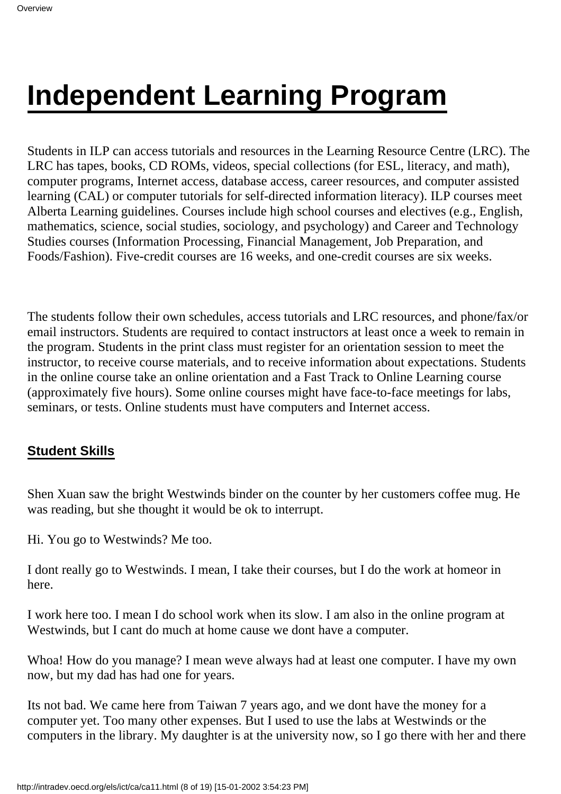# **Independent Learning Program**

Students in ILP can access tutorials and resources in the Learning Resource Centre (LRC). The LRC has tapes, books, CD ROMs, videos, special collections (for ESL, literacy, and math), computer programs, Internet access, database access, career resources, and computer assisted learning (CAL) or computer tutorials for self-directed information literacy). ILP courses meet Alberta Learning guidelines. Courses include high school courses and electives (e.g., English, mathematics, science, social studies, sociology, and psychology) and Career and Technology Studies courses (Information Processing, Financial Management, Job Preparation, and Foods/Fashion). Five-credit courses are 16 weeks, and one-credit courses are six weeks.

The students follow their own schedules, access tutorials and LRC resources, and phone/fax/or email instructors. Students are required to contact instructors at least once a week to remain in the program. Students in the print class must register for an orientation session to meet the instructor, to receive course materials, and to receive information about expectations. Students in the online course take an online orientation and a Fast Track to Online Learning course (approximately five hours). Some online courses might have face-to-face meetings for labs, seminars, or tests. Online students must have computers and Internet access.

#### **Student Skills**

Shen Xuan saw the bright Westwinds binder on the counter by her customer s coffee mug. He was reading, but she thought it would be ok to interrupt.

Hi. You go to Westwinds? Me too.

I dont really go to Westwinds. I mean, I take their courses, but I do the work at homeor in here.

I work here too. I mean I do school work when it s slow. I am also in the online program at Westwinds, but I can t do much at home cause we don t have a computer.

Whoa! How do you manage? I mean we ve always had at least one computer. I have my own now, but my dad has had one for years.

It s not bad. We came here from Taiwan 7 years ago, and we don t have the money for a computer yet. Too many other expenses. But I used to use the labs at Westwinds or the computers in the library. My daughter is at the university now, so I go there with her and there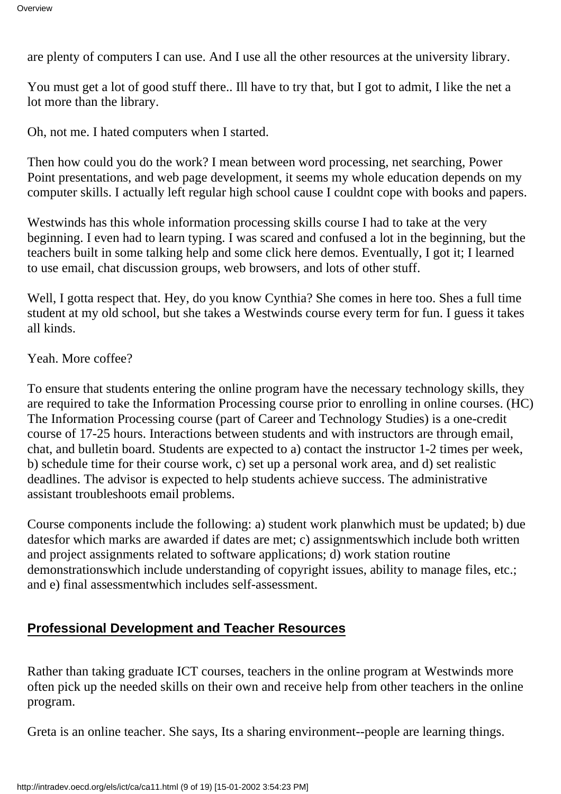are plenty of computers I can use. And I use all the other resources at the university library.

You must get a lot of good stuff there.. I ll have to try that, but I got to admit, I like the net a lot more than the library.

Oh, not me. I hated computers when I started.

Then how could you do the work? I mean between word processing, net searching, Power Point presentations, and web page development, it seems my whole education depends on my computer skills. I actually left regular high school cause I couldnt cope with books and papers.

Westwinds has this whole information processing skills course I had to take at the very beginning. I even had to learn typing. I was scared and confused a lot in the beginning, but the teachers built in some talking help and some click here demos. Eventually, I got it; I learned to use email, chat discussion groups, web browsers, and lots of other stuff.

Well, I gotta respect that. Hey, do you know Cynthia? She comes in here too. She s a full time student at my old school, but she takes a Westwinds course every term for fun. I guess it takes all kinds.

Yeah. More coffee?

To ensure that students entering the online program have the necessary technology skills, they are required to take the Information Processing course prior to enrolling in online courses. (HC) The Information Processing course (part of Career and Technology Studies) is a one-credit course of 17-25 hours. Interactions between students and with instructors are through email, chat, and bulletin board. Students are expected to a) contact the instructor 1-2 times per week, b) schedule time for their course work, c) set up a personal work area, and d) set realistic deadlines. The advisor is expected to help students achieve success. The administrative assistant troubleshoots email problems.

Course components include the following: a) student work planwhich must be updated; b) due dates for which marks are awarded if dates are met; c) assignments which include both written and project assignments related to software applications; d) work station routine demonstrations which include understanding of copyright issues, ability to manage files, etc.; and e) final assessment which includes self-assessment.

#### **Professional Development and Teacher Resources**

Rather than taking graduate ICT courses, teachers in the online program at Westwinds more often pick up the needed skills on their own and receive help from other teachers in the online program.

Greta is an online teacher. She says, It s a sharing environment--people are learning things.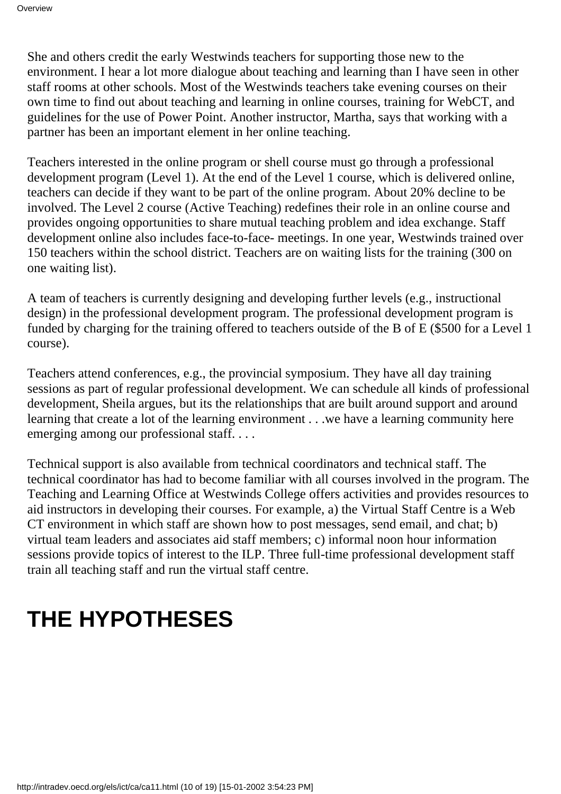She and others credit the early Westwinds teachers for supporting those new to the environment. I hear a lot more dialogue about teaching and learning than I have seen in other staff rooms at other schools. Most of the Westwinds teachers take evening courses on their own time to find out about teaching and learning in online courses, training for WebCT, and guidelines for the use of Power Point. Another instructor, Martha, says that working with a partner has been an important element in her online teaching.

Teachers interested in the online program or shell course must go through a professional development program (Level 1). At the end of the Level 1 course, which is delivered online, teachers can decide if they want to be part of the online program. About 20% decline to be involved. The Level 2 course (Active Teaching) redefines their role in an online course and provides ongoing opportunities to share mutual teaching problem and idea exchange. Staff development online also includes face-to-face- meetings. In one year, Westwinds trained over 150 teachers within the school district. Teachers are on waiting lists for the training (300 on one waiting list).

A team of teachers is currently designing and developing further levels (e.g., instructional design) in the professional development program. The professional development program is funded by charging for the training offered to teachers outside of the B of E (\$500 for a Level 1 course).

Teachers attend conferences, e.g., the provincial symposium. They have all day training sessions as part of regular professional development. We can schedule all kinds of professional development, Sheila argues, but it s the relationships that are built around support and around learning that create a lot of the learning environment . . .we have a learning community here emerging among our professional staff. . . .

Technical support is also available from technical coordinators and technical staff. The technical coordinator has had to become familiar with all courses involved in the program. The Teaching and Learning Office at Westwinds College offers activities and provides resources to aid instructors in developing their courses. For example, a) the Virtual Staff Centre is a Web CT environment in which staff are shown how to post messages, send email, and chat; b) virtual team leaders and associates aid staff members; c) informal noon hour information sessions provide topics of interest to the ILP. Three full-time professional development staff train all teaching staff and run the virtual staff centre.

## **THE HYPOTHESES**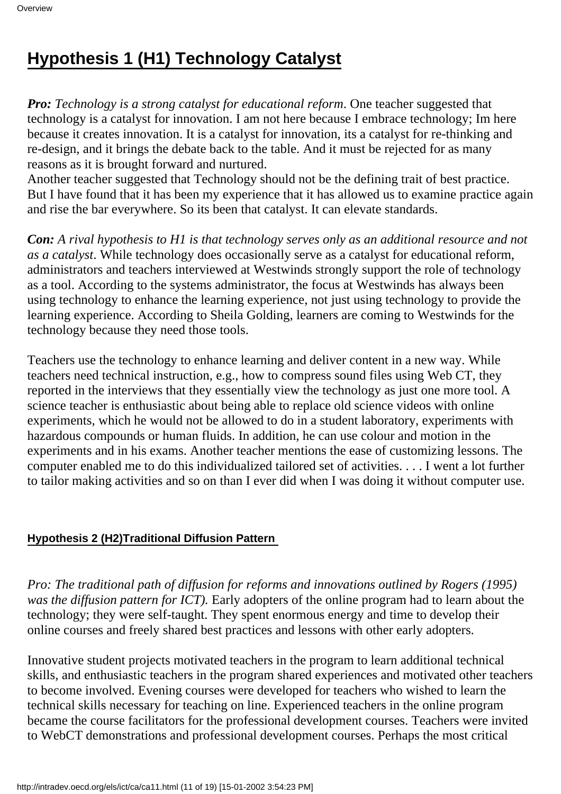## **Hypothesis 1 (H1) Technology Catalyst**

*Pro: Technology is a strong catalyst for educational reform*. One teacher suggested that technology is a catalyst for innovation. I am not here because I embrace technology; Im here because it creates innovation. It is a catalyst for innovation, it s a catalyst for re-thinking and re-design, and it brings the debate back to the table. And it must be rejected for as many reasons as it is brought forward and nurtured.

Another teacher suggested that Technology should not be the defining trait of best practice. But I have found that it has been my experience that it has allowed us to examine practice again and rise the bar everywhere. So it s been that catalyst. It can elevate standards.

*Con: A rival hypothesis to H1 is that technology serves only as an additional resource and not as a catalyst*. While technology does occasionally serve as a catalyst for educational reform, administrators and teachers interviewed at Westwinds strongly support the role of technology as a tool. According to the systems administrator, the focus at Westwinds has always been using technology to enhance the learning experience, not just using technology to provide the learning experience. According to Sheila Golding, learners are coming to Westwinds for the technology because they need those tools.

Teachers use the technology to enhance learning and deliver content in a new way. While teachers need technical instruction, e.g., how to compress sound files using Web CT, they reported in the interviews that they essentially view the technology as just one more tool. A science teacher is enthusiastic about being able to replace old science videos with online experiments, which he would not be allowed to do in a student laboratory, experiments with hazardous compounds or human fluids. In addition, he can use colour and motion in the experiments and in his exams. Another teacher mentions the ease of customizing lessons. The computer enabled me to do this individualized tailored set of activities. . . . I went a lot further to tailor making activities and so on than I ever did when I was doing it without computer use.

#### **Hypothesis 2 (H2) Traditional Diffusion Pattern**

*Pro: The traditional path of diffusion for reforms and innovations outlined by Rogers (1995) was the diffusion pattern for ICT).* Early adopters of the online program had to learn about the technology; they were self-taught. They spent enormous energy and time to develop their online courses and freely shared best practices and lessons with other early adopters.

Innovative student projects motivated teachers in the program to learn additional technical skills, and enthusiastic teachers in the program shared experiences and motivated other teachers to become involved. Evening courses were developed for teachers who wished to learn the technical skills necessary for teaching on line. Experienced teachers in the online program became the course facilitators for the professional development courses. Teachers were invited to WebCT demonstrations and professional development courses. Perhaps the most critical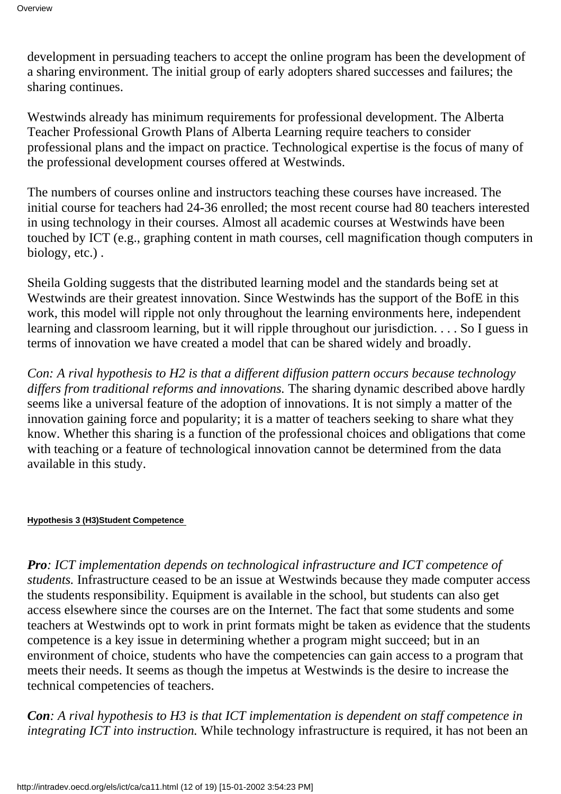development in persuading teachers to accept the online program has been the development of a sharing environment. The initial group of early adopters shared successes and failures; the sharing continues.

Westwinds already has minimum requirements for professional development. The Alberta Teacher Professional Growth Plans of Alberta Learning require teachers to consider professional plans and the impact on practice. Technological expertise is the focus of many of the professional development courses offered at Westwinds.

The numbers of courses online and instructors teaching these courses have increased. The initial course for teachers had 24-36 enrolled; the most recent course had 80 teachers interested in using technology in their courses. Almost all academic courses at Westwinds have been touched by ICT (e.g., graphing content in math courses, cell magnification though computers in biology, etc.) .

Sheila Golding suggests that the distributed learning model and the standards being set at Westwinds are their greatest innovation. Since Westwinds has the support of the BofE in this work, this model will ripple not only throughout the learning environments here, independent learning and classroom learning, but it will ripple throughout our jurisdiction. . . . So I guess in terms of innovation we have created a model that can be shared widely and broadly.

*Con: A rival hypothesis to H2 is that a different diffusion pattern occurs because technology differs from traditional reforms and innovations.* The sharing dynamic described above hardly seems like a universal feature of the adoption of innovations. It is not simply a matter of the innovation gaining force and popularity; it is a matter of teachers seeking to share what they know. Whether this sharing is a function of the professional choices and obligations that come with teaching or a feature of technological innovation cannot be determined from the data available in this study.

#### **Hypothesis 3 (H3) Student Competence**

*Pro: ICT implementation depends on technological infrastructure and ICT competence of students.* Infrastructure ceased to be an issue at Westwinds because they made computer access the students responsibility. Equipment is available in the school, but students can also get access elsewhere since the courses are on the Internet. The fact that some students and some teachers at Westwinds opt to work in print formats might be taken as evidence that the students competence is a key issue in determining whether a program might succeed; but in an environment of choice, students who have the competencies can gain access to a program that meets their needs. It seems as though the impetus at Westwinds is the desire to increase the technical competencies of teachers.

*Con: A rival hypothesis to H3 is that ICT implementation is dependent on staff competence in integrating ICT into instruction*. While technology infrastructure is required, it has not been an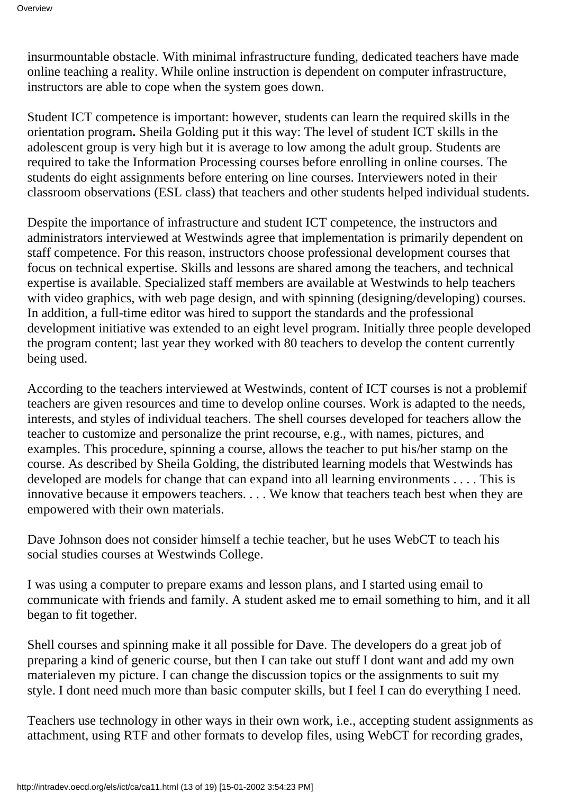insurmountable obstacle. With minimal infrastructure funding, dedicated teachers have made online teaching a reality. While online instruction is dependent on computer infrastructure, instructors are able to cope when the system goes down.

Student ICT competence is important: however, students can learn the required skills in the orientation program**.** Sheila Golding put it this way: The level of student ICT skills in the adolescent group is very high but it is average to low among the adult group. Students are required to take the Information Processing courses before enrolling in online courses. The students do eight assignments before entering on line courses. Interviewers noted in their classroom observations (ESL class) that teachers and other students helped individual students.

Despite the importance of infrastructure and student ICT competence, the instructors and administrators interviewed at Westwinds agree that implementation is primarily dependent on staff competence. For this reason, instructors choose professional development courses that focus on technical expertise. Skills and lessons are shared among the teachers, and technical expertise is available. Specialized staff members are available at Westwinds to help teachers with video graphics, with web page design, and with spinning (designing/developing) courses. In addition, a full-time editor was hired to support the standards and the professional development initiative was extended to an eight level program. Initially three people developed the program content; last year they worked with 80 teachers to develop the content currently being used.

According to the teachers interviewed at Westwinds, content of ICT courses is not a problemif teachers are given resources and time to develop online courses. Work is adapted to the needs, interests, and styles of individual teachers. The shell courses developed for teachers allow the teacher to customize and personalize the print recourse, e.g., with names, pictures, and examples. This procedure, spinning a course, allows the teacher to put his/her stamp on the course. As described by Sheila Golding, the distributed learning models that Westwinds has developed are models for change that can expand into all learning environments . . . . This is innovative because it empowers teachers. . . . We know that teachers teach best when they are empowered with their own materials.

Dave Johnson does not consider himself a techie teacher, but he uses WebCT to teach his social studies courses at Westwinds College.

I was using a computer to prepare exams and lesson plans, and I started using email to communicate with friends and family. A student asked me to email something to him, and it all began to fit together.

Shell courses and spinning make it all possible for Dave. The developers do a great job of preparing a kind of generic course, but then I can take out stuff I dont want and add my own material even my picture. I can change the discussion topics or the assignments to suit my style. I dont need much more than basic computer skills, but I feel I can do everything I need.

Teachers use technology in other ways in their own work, i.e., accepting student assignments as attachment, using RTF and other formats to develop files, using WebCT for recording grades,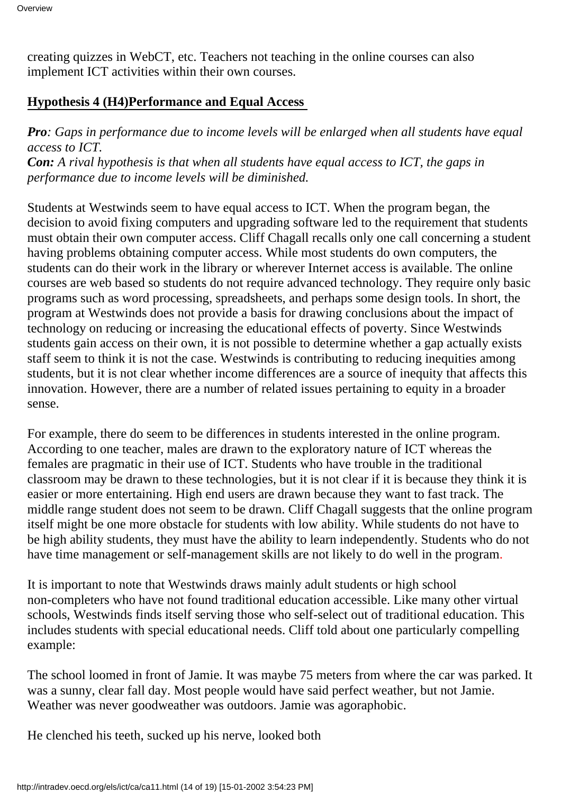creating quizzes in WebCT, etc. Teachers not teaching in the online courses can also implement ICT activities within their own courses.

#### **Hypothesis 4 (H4) Performance and Equal Access**

*Pro: Gaps in performance due to income levels will be enlarged when all students have equal access to ICT. Con: A rival hypothesis is that when all students have equal access to ICT, the gaps in*

*performance due to income levels will be diminished.*

Students at Westwinds seem to have equal access to ICT. When the program began, the decision to avoid fixing computers and upgrading software led to the requirement that students must obtain their own computer access. Cliff Chagall recalls only one call concerning a student having problems obtaining computer access. While most students do own computers, the students can do their work in the library or wherever Internet access is available. The online courses are web based so students do not require advanced technology. They require only basic programs such as word processing, spreadsheets, and perhaps some design tools. In short, the program at Westwinds does not provide a basis for drawing conclusions about the impact of technology on reducing or increasing the educational effects of poverty. Since Westwinds students gain access on their own, it is not possible to determine whether a gap actually exists staff seem to think it is not the case. Westwinds is contributing to reducing inequities among students, but it is not clear whether income differences are a source of inequity that affects this innovation. However, there are a number of related issues pertaining to equity in a broader sense.

For example, there do seem to be differences in students interested in the online program. According to one teacher, males are drawn to the exploratory nature of ICT whereas the females are pragmatic in their use of ICT. Students who have trouble in the traditional classroom may be drawn to these technologies, but it is not clear if it is because they think it is easier or more entertaining. High end users are drawn because they want to fast track. The middle range student does not seem to be drawn. Cliff Chagall suggests that the online program itself might be one more obstacle for students with low ability. While students do not have to be high ability students, they must have the ability to learn independently. Students who do not have time management or self-management skills are not likely to do well in the program.

It is important to note that Westwinds draws mainly adult students or high school non-completers who have not found traditional education accessible. Like many other virtual schools, Westwinds finds itself serving those who self-select out of traditional education. This includes students with special educational needs. Cliff told about one particularly compelling example:

The school loomed in front of Jamie. It was maybe 75 meters from where the car was parked. It was a sunny, clear fall day. Most people would have said perfect weather, but not Jamie. Weather was never good weather was outdoors. Jamie was agoraphobic.

He clenched his teeth, sucked up his nerve, looked both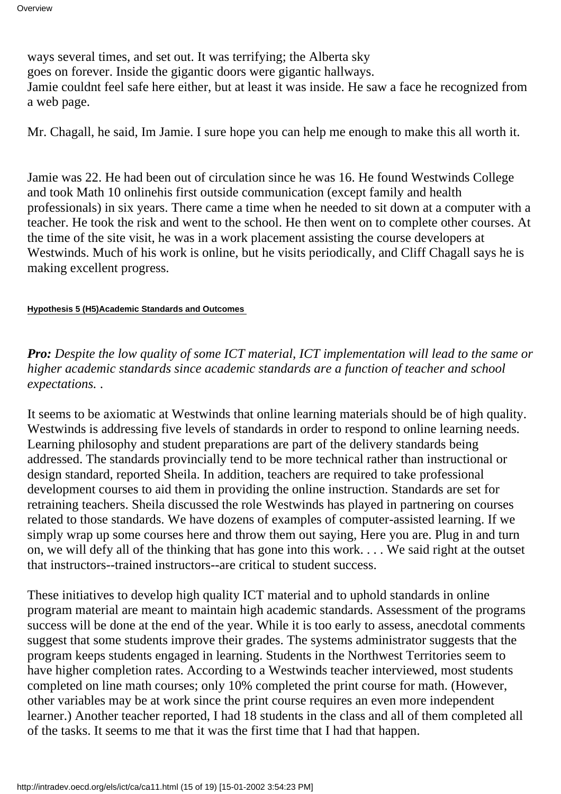ways several times, and set out. It was terrifying; the Alberta sky goes on forever. Inside the gigantic doors were gigantic hallways. Jamie couldn t feel safe here either, but at least it was inside. He saw a face he recognized from a web page.

Mr. Chagall, he said, Im Jamie. I sure hope you can help me enough to make this all worth it.

Jamie was 22. He had been out of circulation since he was 16. He found Westwinds College and took Math 10 online his first outside communication (except family and health professionals) in six years. There came a time when he needed to sit down at a computer with a teacher. He took the risk and went to the school. He then went on to complete other courses. At the time of the site visit, he was in a work placement assisting the course developers at Westwinds. Much of his work is online, but he visits periodically, and Cliff Chagall says he is making excellent progress.

#### **Hypothesis 5 (H5) Academic Standards and Outcomes**

*Pro: Despite the low quality of some ICT material, ICT implementation will lead to the same or higher academic standards since academic standards are a function of teacher and school expectations.* .

It seems to be axiomatic at Westwinds that online learning materials should be of high quality. Westwinds is addressing five levels of standards in order to respond to online learning needs. Learning philosophy and student preparations are part of the delivery standards being addressed. The standards provincially tend to be more technical rather than instructional or design standard, reported Sheila. In addition, teachers are required to take professional development courses to aid them in providing the online instruction. Standards are set for retraining teachers. Sheila discussed the role Westwinds has played in partnering on courses related to those standards. We have dozens of examples of computer-assisted learning. If we simply wrap up some courses here and throw them out saying, Here you are. Plug in and turn on, we will defy all of the thinking that has gone into this work. . . . We said right at the outset that instructors--trained instructors--are critical to student success.

These initiatives to develop high quality ICT material and to uphold standards in online program material are meant to maintain high academic standards. Assessment of the programs success will be done at the end of the year. While it is too early to assess, anecdotal comments suggest that some students improve their grades. The systems administrator suggests that the program keeps students engaged in learning. Students in the Northwest Territories seem to have higher completion rates. According to a Westwinds teacher interviewed, most students completed on line math courses; only 10% completed the print course for math. (However, other variables may be at work since the print course requires an even more independent learner.) Another teacher reported, I had 18 students in the class and all of them completed all of the tasks. It seems to me that it was the first time that I had that happen.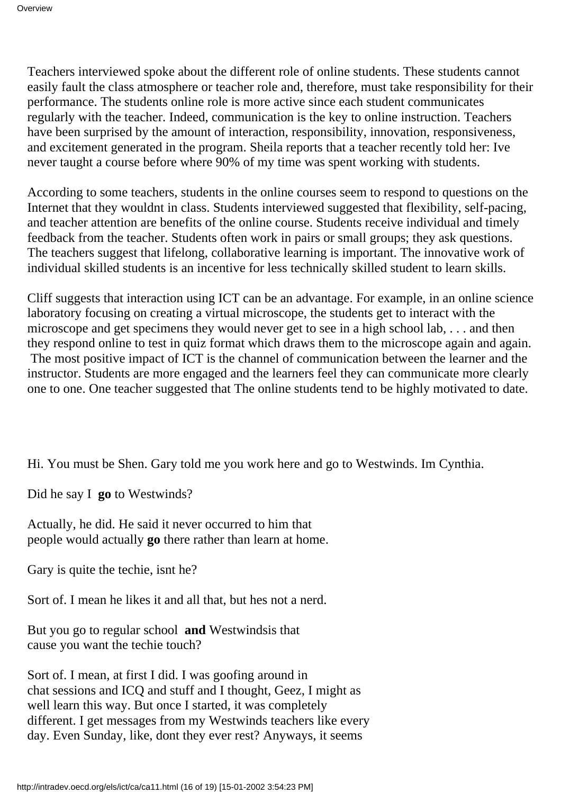Teachers interviewed spoke about the different role of online students. These students cannot easily fault the class atmosphere or teacher role and, therefore, must take responsibility for their performance. The student s online role is more active since each student communicates regularly with the teacher. Indeed, communication is the key to online instruction. Teachers have been surprised by the amount of interaction, responsibility, innovation, responsiveness, and excitement generated in the program. Sheila reports that a teacher recently told her: Ive never taught a course before where 90% of my time was spent working with students.

According to some teachers, students in the online courses seem to respond to questions on the Internet that they wouldn t in class. Students interviewed suggested that flexibility, self-pacing, and teacher attention are benefits of the online course. Students receive individual and timely feedback from the teacher. Students often work in pairs or small groups; they ask questions. The teachers suggest that lifelong, collaborative learning is important. The innovative work of individual skilled students is an incentive for less technically skilled student to learn skills.

Cliff suggests that interaction using ICT can be an advantage. For example, in an online science laboratory focusing on creating a virtual microscope, the students get to interact with the microscope and get specimens they would never get to see in a high school lab, ... and then they respond online to test in quiz format which draws them to the microscope again and again.

 The most positive impact of ICT is the channel of communication between the learner and the instructor. Students are more engaged and the learners feel they can communicate more clearly one to one. One teacher suggested that The online students tend to be highly motivated to date.

Hi. You must be Shen. Gary told me you work here and go to Westwinds. Im Cynthia.

Did he say I **go** to Westwinds?

Actually, he did. He said it never occurred to him that people would actually **go** there rather than learn at home.

Gary is quite the techie, isn the?

Sort of. I mean he likes it and all that, but hes not a nerd.

But you go to regular school **and** Westwinds is that cause you want the techie touch?

Sort of. I mean, at first I did. I was goofing around in chat sessions and ICQ and stuff and I thought, Geez, I might as well learn this way. But once I started, it was completely different. I get messages from my Westwinds teachers like every day. Even Sunday, like, don t they ever rest? Anyways, it seems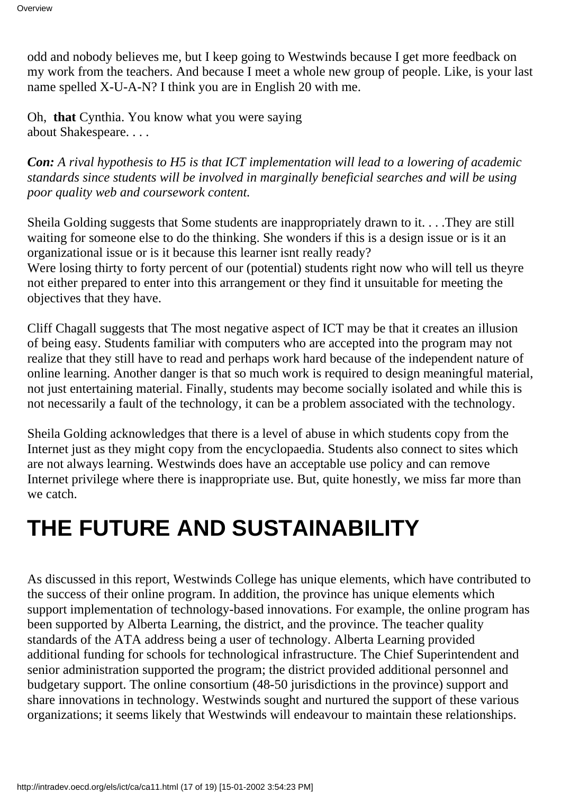odd and nobody believes me, but I keep going to Westwinds because I get more feedback on my work from the teachers. And because I meet a whole new group of people. Like, is your last name spelled X-U-A-N? I think you are in English 20 with me.

Oh, **that** Cynthia. You know what you were saying about Shakespeare. . . .

*Con: A rival hypothesis to H5 is that ICT implementation will lead to a lowering of academic standards since students will be involved in marginally beneficial searches and will be using poor quality web and coursework content.*

Sheila Golding suggests that Some students are inappropriately drawn to it. . . .They are still waiting for someone else to do the thinking. She wonders if this is a design issue or is it an organizational issue or is it because this learner isnt really ready?

We re losing thirty to forty percent of our (potential) students right now who will tell us they re not either prepared to enter into this arrangement or they find it unsuitable for meeting the objectives that they have.

Cliff Chagall suggests that The most negative aspect of ICT may be that it creates an illusion of being easy. Students familiar with computers who are accepted into the program may not realize that they still have to read and perhaps work hard because of the independent nature of online learning. Another danger is that so much work is required to design meaningful material, not just entertaining material. Finally, students may become socially isolated and while this is not necessarily a fault of the technology, it can be a problem associated with the technology.

Sheila Golding acknowledges that there is a level of abuse in which students copy from the Internet just as they might copy from the encyclopaedia. Students also connect to sites which are not always learning. Westwinds does have an acceptable use policy and can remove Internet privilege where there is inappropriate use. But, quite honestly, we miss far more than we catch.

## **THE FUTURE AND SUSTAINABILITY**

As discussed in this report, Westwinds College has unique elements, which have contributed to the success of their online program. In addition, the province has unique elements which support implementation of technology-based innovations. For example, the online program has been supported by Alberta Learning, the district, and the province. The teacher quality standards of the ATA address being a user of technology. Alberta Learning provided additional funding for schools for technological infrastructure. The Chief Superintendent and senior administration supported the program; the district provided additional personnel and budgetary support. The online consortium (48-50 jurisdictions in the province) support and share innovations in technology. Westwinds sought and nurtured the support of these various organizations; it seems likely that Westwinds will endeavour to maintain these relationships.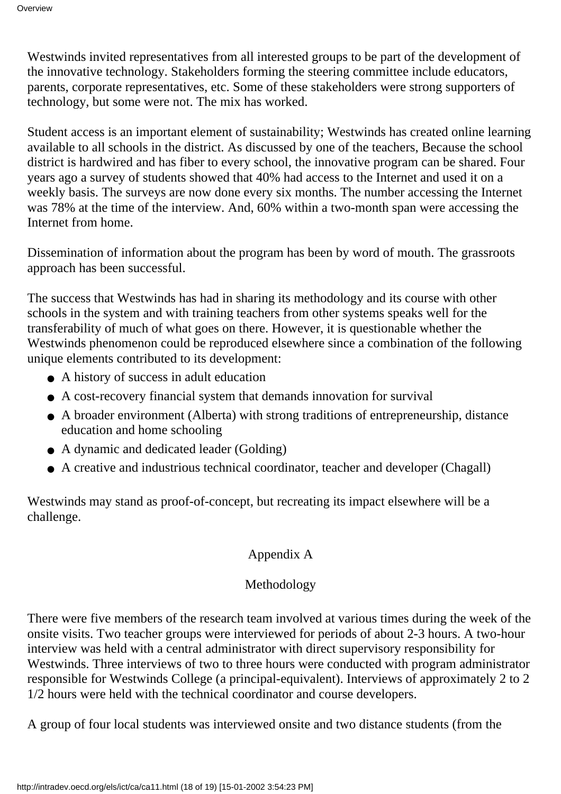Westwinds invited representatives from all interested groups to be part of the development of the innovative technology. Stakeholders forming the steering committee include educators, parents, corporate representatives, etc. Some of these stakeholders were strong supporters of technology, but some were not. The mix has worked.

Student access is an important element of sustainability; Westwinds has created online learning available to all schools in the district. As discussed by one of the teachers, Because the school district is hardwired and has fiber to every school, the innovative program can be shared. Four years ago a survey of students showed that 40% had access to the Internet and used it on a weekly basis. The surveys are now done every six months. The number accessing the Internet was 78% at the time of the interview. And, 60% within a two-month span were accessing the Internet from home.

Dissemination of information about the program has been by word of mouth. The grassroots approach has been successful.

The success that Westwinds has had in sharing its methodology and its course with other schools in the system and with training teachers from other systems speaks well for the transferability of much of what goes on there. However, it is questionable whether the Westwinds phenomenon could be reproduced elsewhere since a combination of the following unique elements contributed to its development:

- A history of success in adult education
- A cost-recovery financial system that demands innovation for survival
- A broader environment (Alberta) with strong traditions of entrepreneurship, distance education and home schooling
- A dynamic and dedicated leader (Golding)
- A creative and industrious technical coordinator, teacher and developer (Chagall)

Westwinds may stand as proof-of-concept, but recreating its impact elsewhere will be a challenge.

#### Appendix A

#### Methodology

There were five members of the research team involved at various times during the week of the onsite visits. Two teacher groups were interviewed for periods of about 2-3 hours. A two-hour interview was held with a central administrator with direct supervisory responsibility for Westwinds. Three interviews of two to three hours were conducted with program administrator responsible for Westwinds College (a principal-equivalent). Interviews of approximately 2 to 2 1/2 hours were held with the technical coordinator and course developers.

A group of four local students was interviewed onsite and two distance students (from the